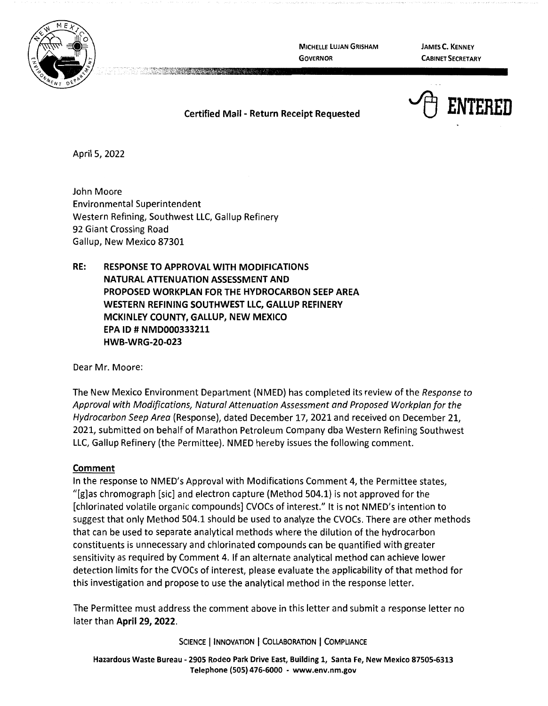

**MICHELLE LUJAN GRISHAM GOVERNOR** 

**JAMES C. KENNEY CABINET SECRETARY** 

## <sup>t</sup> ENTERED

## **Certified Mail** - **Return Receipt Requested**

April 5, 2022

John Moore Environmental Superintendent Western Refining, Southwest LLC, Gallup Refinery 92 Giant Crossing Road Gallup, New Mexico 87301

**RE: RESPONSE TO APPROVAL WITH MODIFICATIONS NATURAL ATTENUATION ASSESSMENT AND PROPOSED WORKPLAN FOR** THE **HYDROCARBON SEEP AREA WESTERN REFINING SOUTHWEST LLC, GALLUP REFINERY MCKINLEY COUNTY, GALLUP, NEW MEXICO EPA ID# NMD000333211 HWB-WRG-20-023** 

Dear Mr. Moore:

The New Mexico Environment Department (NMED) has completed its review of the Response to Approval with Modifications, Natural Attenuation Assessment and Proposed Workplan for the Hydrocarbon Seep Area (Response), dated December 17, 2021 and received on December 21, 2021, submitted on behalf of Marathon Petroleum Company dba Western Refining Southwest LLC, Gallup Refinery (the Permittee). NMED hereby issues the following comment.

## **Comment**

In the response to NMED's Approval with Modifications Comment 4, the Permittee states, "[g]as chromograph [sic] and electron capture (Method 504.1) is not approved for the [chlorinated volatile organic compounds] CVOCs of interest." It is not NMED's intention to suggest that only Method 504.1 should be used to analyze the CVOCs. There are other methods that can be used to separate analytical methods where the dilution of the hydrocarbon constituents is unnecessary and chlorinated compounds can be quantified with greater sensitivity as required by Comment 4. If an alternate analytical method can achieve lower detection limits for the CVOCs of interest, please evaluate the applicability of that method for this investigation and propose to use the analytical method in the response letter.

The Permittee must address the comment above in this letter and submit a response letter no later than **April 29, 2022.** 

SCIENCE | INNOVATION | COLLABORATION | COMPLIANCE

**Hazardous Waste Bureau** - **2905 Rodeo Park Drive East, Building 1, Santa Fe, New Mexico 87505-6313 Telephone (SOS) 476-6000** - **www.env.nm.gov**